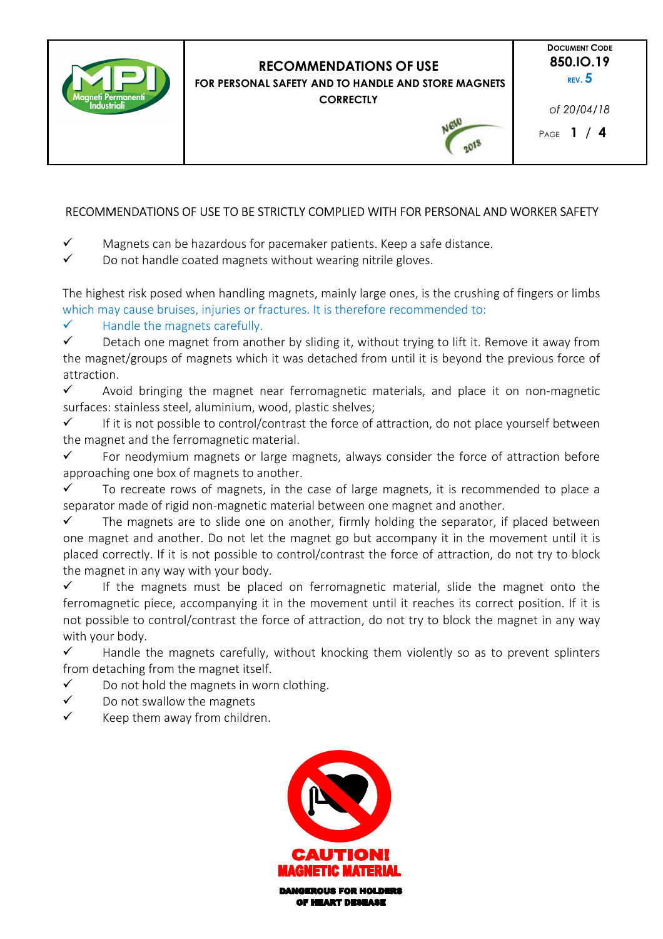

# **RECOMMENDATIONS OF USE FOR PERSONAL SAFETY AND TO HANDLE AND STORE MAGNETS**

**CORRECTLY** 

**DOCUMENT CODE 850.IO.19 REV. 5** 

*of 20/04/18* 

2018

# RECOMMENDATIONS OF USE TO BE STRICTLY COMPLIED WITH FOR PERSONAL AND WORKER SAFETY

- $\checkmark$  Magnets can be hazardous for pacemaker patients. Keep a safe distance.
- $\checkmark$  Do not handle coated magnets without wearing nitrile gloves.

The highest risk posed when handling magnets, mainly large ones, is the crushing of fingers or limbs which may cause bruises, injuries or fractures. It is therefore recommended to:

# $\checkmark$  Handle the magnets carefully.

 $\checkmark$  Detach one magnet from another by sliding it, without trying to lift it. Remove it away from the magnet/groups of magnets which it was detached from until it is beyond the previous force of attraction.

 $\checkmark$  Avoid bringing the magnet near ferromagnetic materials, and place it on non-magnetic surfaces: stainless steel, aluminium, wood, plastic shelves;

 $\checkmark$  If it is not possible to control/contrast the force of attraction, do not place yourself between the magnet and the ferromagnetic material.

 $\checkmark$  For neodymium magnets or large magnets, always consider the force of attraction before approaching one box of magnets to another.

 $\checkmark$  To recreate rows of magnets, in the case of large magnets, it is recommended to place a separator made of rigid non-magnetic material between one magnet and another.

 $\checkmark$  The magnets are to slide one on another, firmly holding the separator, if placed between one magnet and another. Do not let the magnet go but accompany it in the movement until it is placed correctly. If it is not possible to control/contrast the force of attraction, do not try to block the magnet in any way with your body.

 $\checkmark$  If the magnets must be placed on ferromagnetic material, slide the magnet onto the ferromagnetic piece, accompanying it in the movement until it reaches its correct position. If it is not possible to control/contrast the force of attraction, do not try to block the magnet in any way with your body.

 $\checkmark$  Handle the magnets carefully, without knocking them violently so as to prevent splinters from detaching from the magnet itself.

- $\checkmark$  Do not hold the magnets in worn clothing.
- $\checkmark$  Do not swallow the magnets
- $\checkmark$  Keep them away from children.



OF HEART DESEASE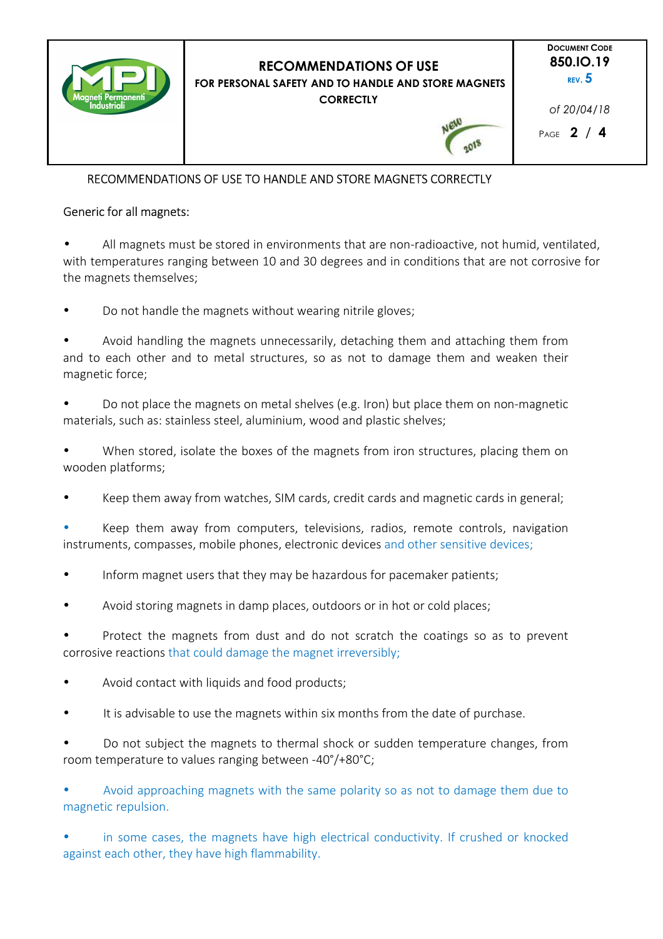

## RECOMMENDATIONS OF USE TO HANDLE AND STORE MAGNETS CORRECTLY

## Generic for all magnets:

• All magnets must be stored in environments that are non-radioactive, not humid, ventilated, with temperatures ranging between 10 and 30 degrees and in conditions that are not corrosive for the magnets themselves;

• Do not handle the magnets without wearing nitrile gloves;

• Avoid handling the magnets unnecessarily, detaching them and attaching them from and to each other and to metal structures, so as not to damage them and weaken their magnetic force;

• Do not place the magnets on metal shelves (e.g. Iron) but place them on non-magnetic materials, such as: stainless steel, aluminium, wood and plastic shelves;

• When stored, isolate the boxes of the magnets from iron structures, placing them on wooden platforms;

Keep them away from watches, SIM cards, credit cards and magnetic cards in general;

• Keep them away from computers, televisions, radios, remote controls, navigation instruments, compasses, mobile phones, electronic devices and other sensitive devices;

- Inform magnet users that they may be hazardous for pacemaker patients;
- Avoid storing magnets in damp places, outdoors or in hot or cold places;

Protect the magnets from dust and do not scratch the coatings so as to prevent corrosive reactions that could damage the magnet irreversibly;

- Avoid contact with liquids and food products;
- It is advisable to use the magnets within six months from the date of purchase.
- Do not subject the magnets to thermal shock or sudden temperature changes, from room temperature to values ranging between -40°/+80°C;

• Avoid approaching magnets with the same polarity so as not to damage them due to magnetic repulsion.

• in some cases, the magnets have high electrical conductivity. If crushed or knocked against each other, they have high flammability.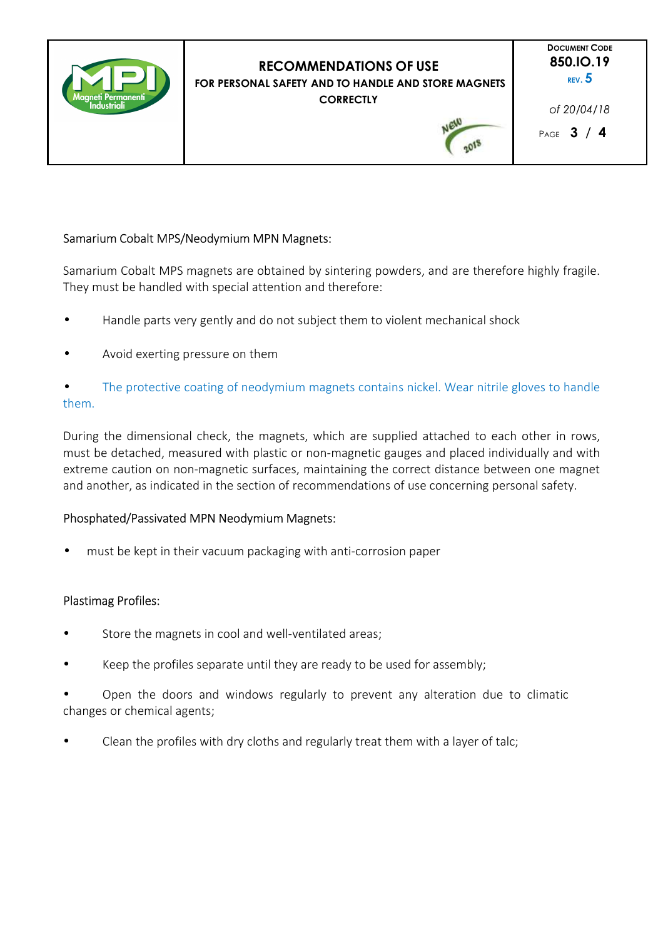

## Samarium Cobalt MPS/Neodymium MPN Magnets:

Samarium Cobalt MPS magnets are obtained by sintering powders, and are therefore highly fragile. They must be handled with special attention and therefore:

- Handle parts very gently and do not subject them to violent mechanical shock
- Avoid exerting pressure on them

The protective coating of neodymium magnets contains nickel. Wear nitrile gloves to handle them.

During the dimensional check, the magnets, which are supplied attached to each other in rows, must be detached, measured with plastic or non-magnetic gauges and placed individually and with extreme caution on non-magnetic surfaces, maintaining the correct distance between one magnet and another, as indicated in the section of recommendations of use concerning personal safety.

### Phosphated/Passivated MPN Neodymium Magnets:

• must be kept in their vacuum packaging with anti-corrosion paper

### Plastimag Profiles:

- Store the magnets in cool and well-ventilated areas;
- Keep the profiles separate until they are ready to be used for assembly;

• Open the doors and windows regularly to prevent any alteration due to climatic changes or chemical agents;

• Clean the profiles with dry cloths and regularly treat them with a layer of talc;